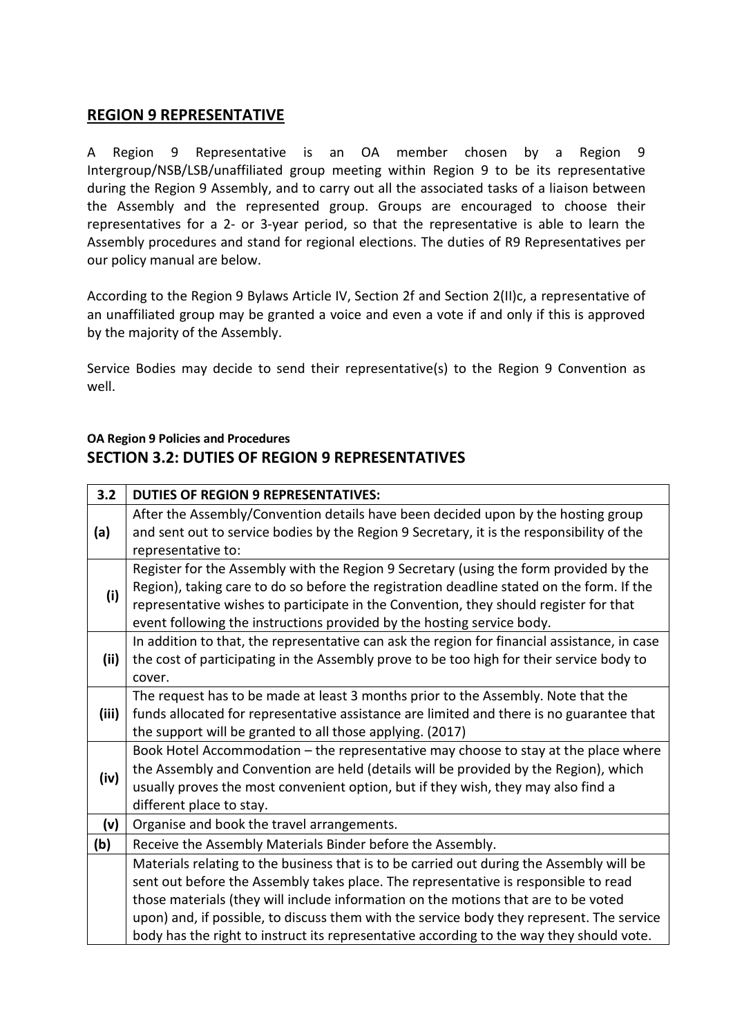## **REGION 9 REPRESENTATIVE**

A Region 9 Representative is an OA member chosen by a Region 9 Intergroup/NSB/LSB/unaffiliated group meeting within Region 9 to be its representative during the Region 9 Assembly, and to carry out all the associated tasks of a liaison between the Assembly and the represented group. Groups are encouraged to choose their representatives for a 2- or 3-year period, so that the representative is able to learn the Assembly procedures and stand for regional elections. The duties of R9 Representatives per our policy manual are below.

According to the Region 9 Bylaws Article IV, Section 2f and Section 2(II)c, a representative of an unaffiliated group may be granted a voice and even a vote if and only if this is approved by the majority of the Assembly.

Service Bodies may decide to send their representative(s) to the Region 9 Convention as well.

## **OA Region 9 Policies and Procedures SECTION 3.2: DUTIES OF REGION 9 REPRESENTATIVES**

| 3.2   | <b>DUTIES OF REGION 9 REPRESENTATIVES:</b>                                                                                                                                                                                                                                                                                                            |
|-------|-------------------------------------------------------------------------------------------------------------------------------------------------------------------------------------------------------------------------------------------------------------------------------------------------------------------------------------------------------|
| (a)   | After the Assembly/Convention details have been decided upon by the hosting group<br>and sent out to service bodies by the Region 9 Secretary, it is the responsibility of the<br>representative to:                                                                                                                                                  |
| (i)   | Register for the Assembly with the Region 9 Secretary (using the form provided by the<br>Region), taking care to do so before the registration deadline stated on the form. If the<br>representative wishes to participate in the Convention, they should register for that<br>event following the instructions provided by the hosting service body. |
| (ii)  | In addition to that, the representative can ask the region for financial assistance, in case<br>the cost of participating in the Assembly prove to be too high for their service body to<br>cover.                                                                                                                                                    |
| (iii) | The request has to be made at least 3 months prior to the Assembly. Note that the<br>funds allocated for representative assistance are limited and there is no guarantee that<br>the support will be granted to all those applying. (2017)                                                                                                            |
| (iv)  | Book Hotel Accommodation - the representative may choose to stay at the place where<br>the Assembly and Convention are held (details will be provided by the Region), which<br>usually proves the most convenient option, but if they wish, they may also find a<br>different place to stay.                                                          |
| (v)   | Organise and book the travel arrangements.                                                                                                                                                                                                                                                                                                            |
| (b)   | Receive the Assembly Materials Binder before the Assembly.                                                                                                                                                                                                                                                                                            |
|       | Materials relating to the business that is to be carried out during the Assembly will be                                                                                                                                                                                                                                                              |
|       | sent out before the Assembly takes place. The representative is responsible to read                                                                                                                                                                                                                                                                   |
|       | those materials (they will include information on the motions that are to be voted                                                                                                                                                                                                                                                                    |
|       | upon) and, if possible, to discuss them with the service body they represent. The service<br>body has the right to instruct its representative according to the way they should vote.                                                                                                                                                                 |